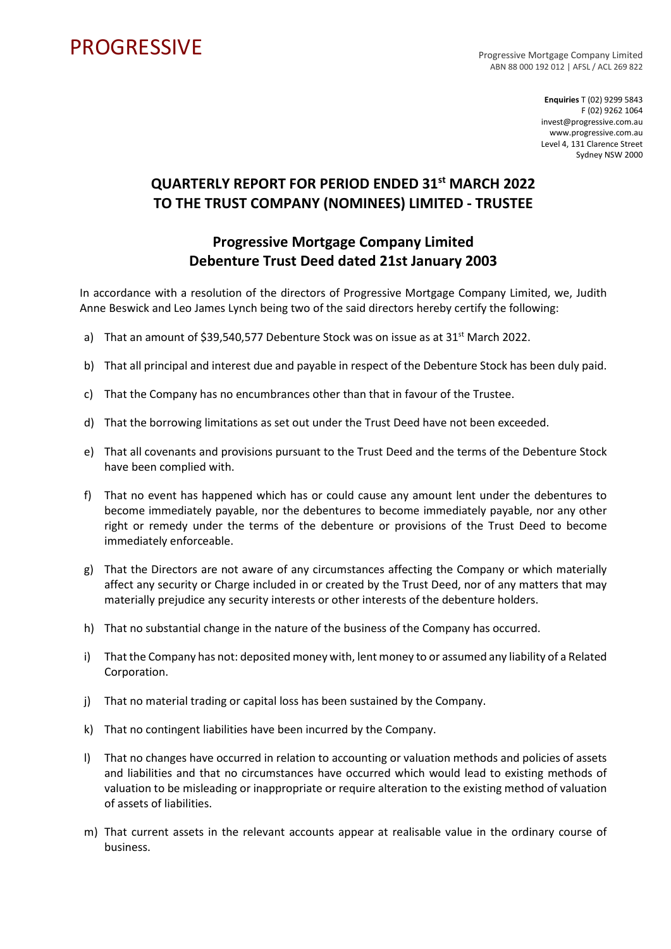## **PROGRESSIVE**

Progressive Mortgage Company Limited ABN 88 000 192 012 | AFSL / ACL 269 822

> **Enquiries** T (02) 9299 5843 F (02) 9262 1064 invest@progressive.com.au www.progressive.com.au Level 4, 131 Clarence Street Sydney NSW 2000

## **QUARTERLY REPORT FOR PERIOD ENDED 31st MARCH 2022 TO THE TRUST COMPANY (NOMINEES) LIMITED - TRUSTEE**

## **Progressive Mortgage Company Limited Debenture Trust Deed dated 21st January 2003**

In accordance with a resolution of the directors of Progressive Mortgage Company Limited, we, Judith Anne Beswick and Leo James Lynch being two of the said directors hereby certify the following:

- a) That an amount of \$39,540,577 Debenture Stock was on issue as at  $31^{st}$  March 2022.
- b) That all principal and interest due and payable in respect of the Debenture Stock has been duly paid.
- c) That the Company has no encumbrances other than that in favour of the Trustee.
- d) That the borrowing limitations as set out under the Trust Deed have not been exceeded.
- e) That all covenants and provisions pursuant to the Trust Deed and the terms of the Debenture Stock have been complied with.
- f) That no event has happened which has or could cause any amount lent under the debentures to become immediately payable, nor the debentures to become immediately payable, nor any other right or remedy under the terms of the debenture or provisions of the Trust Deed to become immediately enforceable.
- g) That the Directors are not aware of any circumstances affecting the Company or which materially affect any security or Charge included in or created by the Trust Deed, nor of any matters that may materially prejudice any security interests or other interests of the debenture holders.
- h) That no substantial change in the nature of the business of the Company has occurred.
- i) That the Company has not: deposited money with, lent money to or assumed any liability of a Related Corporation.
- j) That no material trading or capital loss has been sustained by the Company.
- k) That no contingent liabilities have been incurred by the Company.
- l) That no changes have occurred in relation to accounting or valuation methods and policies of assets and liabilities and that no circumstances have occurred which would lead to existing methods of valuation to be misleading or inappropriate or require alteration to the existing method of valuation of assets of liabilities.
- m) That current assets in the relevant accounts appear at realisable value in the ordinary course of business.